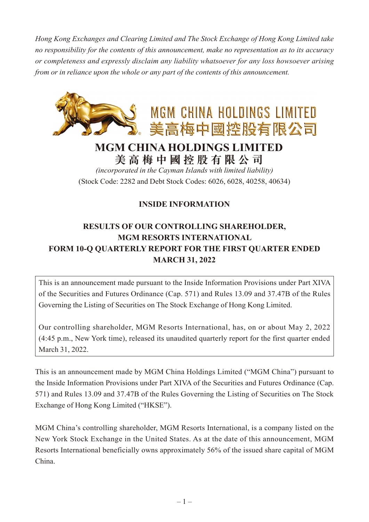*Hong Kong Exchanges and Clearing Limited and The Stock Exchange of Hong Kong Limited take no responsibility for the contents of this announcement, make no representation as to its accuracy or completeness and expressly disclaim any liability whatsoever for any loss howsoever arising from or in reliance upon the whole or any part of the contents of this announcement.*



## **MGM CHINA HOLDINGS LIMITED 美高梅中國控股有限公司**

*(incorporated in the Cayman Islands with limited liability)* (Stock Code: 2282 and Debt Stock Codes: 6026, 6028, 40258, 40634)

## **INSIDE INFORMATION**

## **RESULTS OF OUR CONTROLLING SHAREHOLDER, MGM RESORTS INTERNATIONAL FORM 10-Q QUARTERLY REPORT FOR THE FIRST QUARTER ENDED MARCH 31, 2022**

This is an announcement made pursuant to the Inside Information Provisions under Part XIVA of the Securities and Futures Ordinance (Cap. 571) and Rules 13.09 and 37.47B of the Rules Governing the Listing of Securities on The Stock Exchange of Hong Kong Limited.

Our controlling shareholder, MGM Resorts International, has, on or about May 2, 2022 (4:45 p.m., New York time), released its unaudited quarterly report for the first quarter ended March 31, 2022.

This is an announcement made by MGM China Holdings Limited ("MGM China") pursuant to the Inside Information Provisions under Part XIVA of the Securities and Futures Ordinance (Cap. 571) and Rules 13.09 and 37.47B of the Rules Governing the Listing of Securities on The Stock Exchange of Hong Kong Limited ("HKSE").

MGM China's controlling shareholder, MGM Resorts International, is a company listed on the New York Stock Exchange in the United States. As at the date of this announcement, MGM Resorts International beneficially owns approximately 56% of the issued share capital of MGM China.